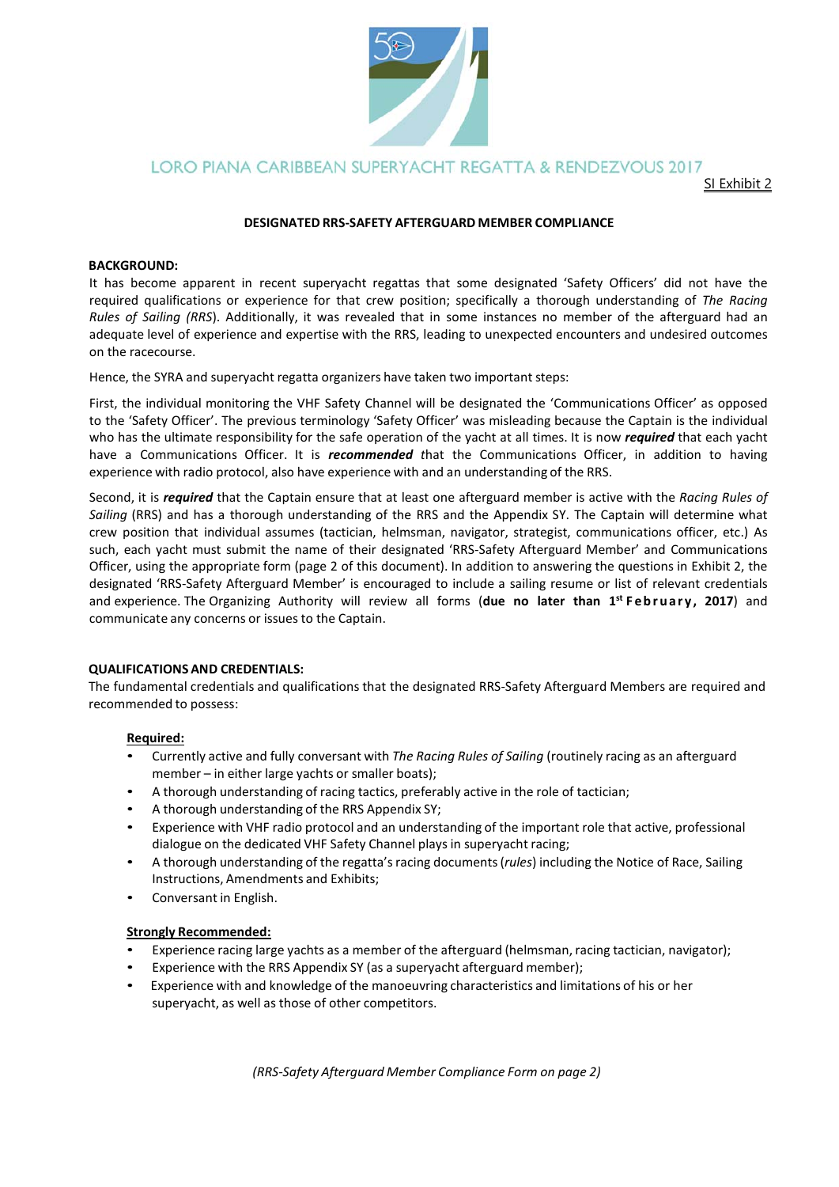

LORO PIANA CARIBBEAN SUPERYACHT REGATTA & RENDEZVOUS 2017

SI Exhibit 2

## **DESIGNATED RRS‐SAFETY AFTERGUARD MEMBER COMPLIANCE**

### **BACKGROUND:**

It has become apparent in recent superyacht regattas that some designated 'Safety Officers' did not have the required qualifications or experience for that crew position; specifically a thorough understanding of *The Racing Rules of Sailing (RRS).* Additionally, it was revealed that in some instances no member of the afterguard had an adequate level of experience and expertise with the RRS, leading to unexpected encounters and undesired outcomes on the racecourse.

Hence, the SYRA and superyacht regatta organizers have taken two important steps:

First, the individual monitoring the VHF Safety Channel will be designated the 'Communications Officer' as opposed to the 'Safety Officer'. The previous terminology 'Safety Officer' was misleading because the Captain is the individual who has the ultimate responsibility for the safe operation of the yacht at all times. It is now *required* that each yacht have a Communications Officer. It is *recommended t*hat the Communications Officer, in addition to having experience with radio protocol, also have experience with and an understanding of the RRS.

Second, it is *required* that the Captain ensure that at least one afterguard member is active with the *Racing Rules of Sailing* (RRS) and has a thorough understanding of the RRS and the Appendix SY. The Captain will determine what crew position that individual assumes (tactician, helmsman, navigator, strategist, communications officer, etc.) As such, each yacht must submit the name of their designated 'RRS-Safety Afterguard Member' and Communications Officer, using the appropriate form (page 2 of this document). In addition to answering the questions in Exhibit 2, the designated 'RRS‐Safety Afterguard Member' is encouraged to include a sailing resume or list of relevant credentials and experience. The Organizing Authority will review all forms (due no later than 1<sup>st</sup> February, 2017) and communicate any concerns or issues to the Captain.

## **QUALIFICATIONS AND CREDENTIALS:**

The fundamental credentials and qualifications that the designated RRS‐Safety Afterguard Members are required and recommended to possess:

## **Required:**

- Currently active and fully conversant with *The Racing Rules of Sailing* (routinely racing as an afterguard member – in either large yachts or smaller boats);
- A thorough understanding of racing tactics, preferably active in the role of tactician;
- A thorough understanding of the RRS Appendix SY;
- Experience with VHF radio protocol and an understanding of the important role that active, professional dialogue on the dedicated VHF Safety Channel plays in superyacht racing;
- A thorough understanding of the regatta's racing documents (*rules*) including the Notice of Race, Sailing Instructions, Amendments and Exhibits;
- Conversant in English.

## **Strongly Recommended:**

- Experience racing large yachts as a member of the afterguard (helmsman, racing tactician, navigator);
- Experience with the RRS Appendix SY (as a superyacht afterguard member);
- Experience with and knowledge of the manoeuvring characteristics and limitations of his or her superyacht, as well as those of other competitors.

*(RRS‐Safety Afterguard Member Compliance Form on page 2)*